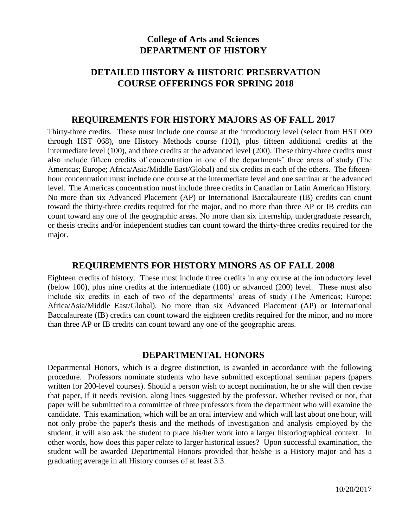# **College of Arts and Sciences DEPARTMENT OF HISTORY**

# **DETAILED HISTORY & HISTORIC PRESERVATION COURSE OFFERINGS FOR SPRING 2018**

#### **REQUIREMENTS FOR HISTORY MAJORS AS OF FALL 2017**

Thirty-three credits. These must include one course at the introductory level (select from HST 009 through HST 068), one History Methods course (101), plus fifteen additional credits at the intermediate level (100), and three credits at the advanced level (200). These thirty-three credits must also include fifteen credits of concentration in one of the departments' three areas of study (The Americas; Europe; Africa/Asia/Middle East/Global) and six credits in each of the others. The fifteenhour concentration must include one course at the intermediate level and one seminar at the advanced level. The Americas concentration must include three credits in Canadian or Latin American History. No more than six Advanced Placement (AP) or International Baccalaureate (IB) credits can count toward the thirty-three credits required for the major, and no more than three AP or IB credits can count toward any one of the geographic areas. No more than six internship, undergraduate research, or thesis credits and/or independent studies can count toward the thirty-three credits required for the major.

### **REQUIREMENTS FOR HISTORY MINORS AS OF FALL 2008**

Eighteen credits of history. These must include three credits in any course at the introductory level (below 100), plus nine credits at the intermediate (100) or advanced (200) level. These must also include six credits in each of two of the departments' areas of study (The Americas; Europe; Africa/Asia/Middle East/Global). No more than six Advanced Placement (AP) or International Baccalaureate (IB) credits can count toward the eighteen credits required for the minor, and no more than three AP or IB credits can count toward any one of the geographic areas.

#### **DEPARTMENTAL HONORS**

Departmental Honors, which is a degree distinction, is awarded in accordance with the following procedure. Professors nominate students who have submitted exceptional seminar papers (papers written for 200-level courses). Should a person wish to accept nomination, he or she will then revise that paper, if it needs revision, along lines suggested by the professor. Whether revised or not, that paper will be submitted to a committee of three professors from the department who will examine the candidate. This examination, which will be an oral interview and which will last about one hour, will not only probe the paper's thesis and the methods of investigation and analysis employed by the student, it will also ask the student to place his/her work into a larger historiographical context. In other words, how does this paper relate to larger historical issues? Upon successful examination, the student will be awarded Departmental Honors provided that he/she is a History major and has a graduating average in all History courses of at least 3.3.